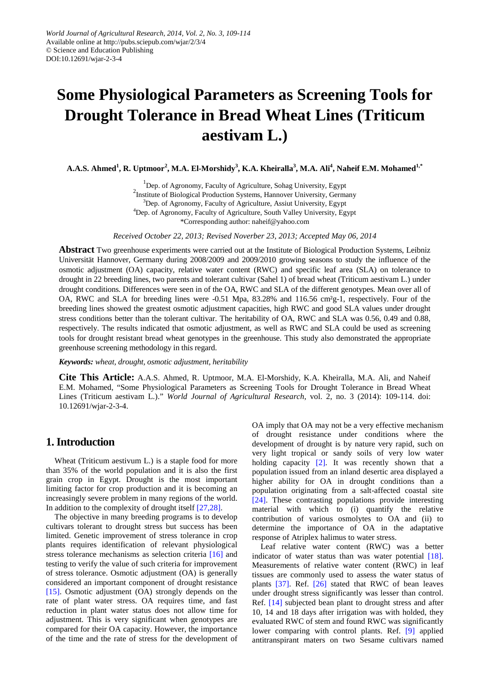# **Some Physiological Parameters as Screening Tools for Drought Tolerance in Bread Wheat Lines (Triticum aestivam L.)**

**A.A.S. Ahmed1 , R. Uptmoor<sup>2</sup> , M.A. El-Morshidy<sup>3</sup> , K.A. Kheiralla<sup>3</sup> , M.A. Ali4 , Naheif E.M. Mohamed1,\***

<sup>1</sup>Dep. of Agronomy, Faculty of Agriculture, Sohag University, Egypt<br><sup>2</sup>Institute of Biological Draduction Systems, University, Comp <sup>2</sup>Institute of Biological Production Systems, Hannover University, Germany <sup>3</sup>Dep. of Agronomy, Faculty of Agriculture, Assiut University, Egypt <sup>4</sup>Dep. of Agronomy, Faculty of Agriculture, South Valley University, Egypt \*Corresponding author: naheif@yahoo.com

*Received October 22, 2013; Revised Noverber 23, 2013; Accepted May 06, 2014*

**Abstract** Two greenhouse experiments were carried out at the Institute of Biological Production Systems, Leibniz Universität Hannover, Germany during 2008/2009 and 2009/2010 growing seasons to study the influence of the osmotic adjustment (OA) capacity, relative water content (RWC) and specific leaf area (SLA) on tolerance to drought in 22 breeding lines, two parents and tolerant cultivar (Sahel 1) of bread wheat (Triticum aestivam L.) under drought conditions. Differences were seen in of the OA, RWC and SLA of the different genotypes. Mean over all of OA, RWC and SLA for breeding lines were -0.51 Mpa, 83.28% and 116.56 cm²g-1, respectively. Four of the breeding lines showed the greatest osmotic adjustment capacities, high RWC and good SLA values under drought stress conditions better than the tolerant cultivar. The heritability of OA, RWC and SLA was 0.56, 0.49 and 0.88, respectively. The results indicated that osmotic adjustment, as well as RWC and SLA could be used as screening tools for drought resistant bread wheat genotypes in the greenhouse. This study also demonstrated the appropriate greenhouse screening methodology in this regard.

*Keywords: wheat, drought, osmotic adjustment, heritability*

**Cite This Article:** A.A.S. Ahmed, R. Uptmoor, M.A. El-Morshidy, K.A. Kheiralla, M.A. Ali, and Naheif E.M. Mohamed, "Some Physiological Parameters as Screening Tools for Drought Tolerance in Bread Wheat Lines (Triticum aestivam L.)." *World Journal of Agricultural Research*, vol. 2, no. 3 (2014): 109-114. doi: 10.12691/wjar-2-3-4.

## **1. Introduction**

Wheat (Triticum aestivum L.) is a staple food for more than 35% of the world population and it is also the first grain crop in Egypt. Drought is the most important limiting factor for crop production and it is becoming an increasingly severe problem in many regions of the world. In addition to the complexity of drought itself [\[27,28\].](#page-4-0) 

The objective in many breeding programs is to develop cultivars tolerant to drought stress but success has been limited. Genetic improvement of stress tolerance in crop plants requires identification of relevant physiological stress tolerance mechanisms as selection criteria [\[16\]](#page-4-1) and testing to verify the value of such criteria for improvement of stress tolerance. Osmotic adjustment (OA) is generally considered an important component of drought resistance [\[15\].](#page-4-2) Osmotic adjustment (OA) strongly depends on the rate of plant water stress. OA requires time, and fast reduction in plant water status does not allow time for adjustment. This is very significant when genotypes are compared for their OA capacity. However, the importance of the time and the rate of stress for the development of OA imply that OA may not be a very effective mechanism of drought resistance under conditions where the development of drought is by nature very rapid, such on very light tropical or sandy soils of very low water holding capacity [\[2\].](#page-4-3) It was recently shown that a population issued from an inland desertic area displayed a higher ability for OA in drought conditions than a population originating from a salt-affected coastal site [\[24\].](#page-4-4) These contrasting populations provide interesting material with which to (i) quantify the relative contribution of various osmolytes to OA and (ii) to determine the importance of OA in the adaptative response of Atriplex halimus to water stress.

Leaf relative water content (RWC) was a better indicator of water status than was water potential [\[18\].](#page-4-5) Measurements of relative water content (RWC) in leaf tissues are commonly used to assess the water status of plants [\[37\].](#page-5-0) Ref. [\[26\]](#page-4-6) stated that RWC of bean leaves under drought stress significantly was lesser than control. Ref. [\[14\]](#page-4-7) subjected bean plant to drought stress and after 10, 14 and 18 days after irrigation was with holded, they evaluated RWC of stem and found RWC was significantly lower comparing with control plants. Ref. [\[9\]](#page-4-8) applied antitranspirant maters on two Sesame cultivars named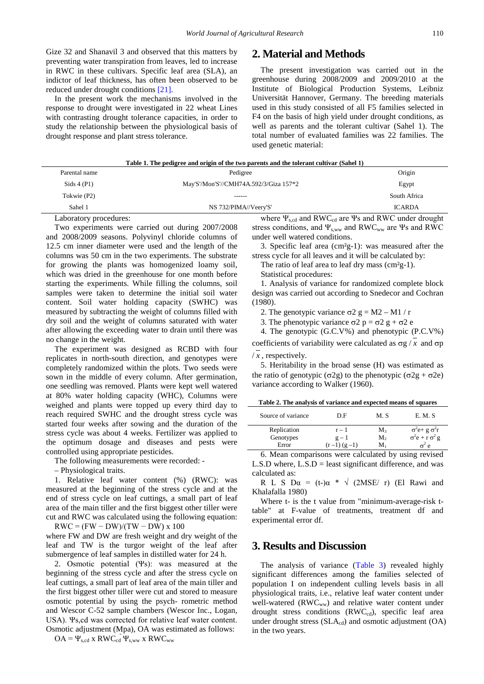Gize 32 and Shanavil 3 and observed that this matters by preventing water transpiration from leaves, led to increase in RWC in these cultivars. Specific leaf area (SLA), an indictor of leaf thickness, has often been observed to be reduced under drought conditions [\[21\].](#page-4-9)

In the present work the mechanisms involved in the response to drought were investigated in 22 wheat Lines with contrasting drought tolerance capacities, in order to study the relationship between the physiological basis of drought response and plant stress tolerance.

#### **2. Material and Methods**

The present investigation was carried out in the greenhouse during 2008/2009 and 2009/2010 at the Institute of Biological Production Systems, Leibniz Universität Hannover, Germany. The breeding materials used in this study consisted of all F5 families selected in F4 on the basis of high yield under drought conditions, as well as parents and the tolerant cultivar (Sahel 1). The total number of evaluated families was 22 families. The used genetic material:

| Table 1. The pedigree and origin of the two parents and the tolerant cultivar (Sahel 1) |                                        |               |  |  |  |  |
|-----------------------------------------------------------------------------------------|----------------------------------------|---------------|--|--|--|--|
| Parental name                                                                           | Pedigree                               | Origin        |  |  |  |  |
| Sids 4 (P1)                                                                             | May'S'/Mon'S'//CMH74A.592/3/Giza 157*2 | Egypt         |  |  |  |  |
| Tokwie (P2)                                                                             | ------                                 | South Africa  |  |  |  |  |
| Sahel 1                                                                                 | NS 732/PIMA//Veery'S'                  | <b>ICARDA</b> |  |  |  |  |
|                                                                                         |                                        |               |  |  |  |  |

Laboratory procedures:

Two experiments were carried out during 2007/2008 and 2008/2009 seasons. Polyvinyl chloride columns of 12.5 cm inner diameter were used and the length of the columns was 50 cm in the two experiments. The substrate for growing the plants was homogenized loamy soil, which was dried in the greenhouse for one month before starting the experiments. While filling the columns, soil samples were taken to determine the initial soil water content. Soil water holding capacity (SWHC) was measured by subtracting the weight of columns filled with dry soil and the weight of columns saturated with water after allowing the exceeding water to drain until there was no change in the weight.

The experiment was designed as RCBD with four replicates in north-south direction, and genotypes were completely randomized within the plots. Two seeds were sown in the middle of every column. After germination, one seedling was removed. Plants were kept well watered at 80% water holding capacity (WHC), Columns were weighed and plants were topped up every third day to reach required SWHC and the drought stress cycle was started four weeks after sowing and the duration of the stress cycle was about 4 weeks. Fertilizer was applied to the optimum dosage and diseases and pests were controlled using appropriate pesticides.

The following measurements were recorded: -

– Physiological traits.

1. Relative leaf water content (%) (RWC): was measured at the beginning of the stress cycle and at the end of stress cycle on leaf cuttings, a small part of leaf area of the main tiller and the first biggest other tiller were cut and RWC was calculated using the following equation:

 $RWC = (FW - DW)/(TW - DW) \times 100$ 

where FW and DW are fresh weight and dry weight of the leaf and TW is the turgor weight of the leaf after submergence of leaf samples in distilled water for 24 h.

2. Osmotic potential (Ψs): was measured at the beginning of the stress cycle and after the stress cycle on leaf cuttings, a small part of leaf area of the main tiller and the first biggest other tiller were cut and stored to measure osmotic potential by using the psych- rometric method and Wescor C-52 sample chambers (Wescor Inc., Logan, USA). Ψs,cd was corrected for relative leaf water content. Osmotic adjustment (Mpa), OA was estimated as follows:

 $OA = \Psi_{s,cd} \times RWC_{cd} \Psi_{s,ww} \times RWC_{ww}$ 

where  $\Psi_{\rm scd}$  and RWC<sub>cd</sub> are Ψs and RWC under drought stress conditions, and  $\Psi_{\text{sww}}$  and RWC<sub>ww</sub> are Ψs and RWC under well watered conditions.

3. Specific leaf area (cm²g-1): was measured after the stress cycle for all leaves and it will be calculated by:

The ratio of leaf area to leaf dry mass  $(cm<sup>2</sup>g-1).$ 

Statistical procedures:

1. Analysis of variance for randomized complete block design was carried out according to Snedecor and Cochran (1980).

2. The genotypic variance  $\sigma$ 2 g = M2 – M1 / r

3. The phenotypic variance  $\sigma$ 2 p =  $\sigma$ 2 g +  $\sigma$ 2 e

4. The genotypic (G.C.V%) and phenotypic (P.C.V%) coefficients of variability were calculated as  $\sigma$ g / *x* and  $\sigma$ p

 $/x$ , respectively.

5. Heritability in the broad sense (H) was estimated as the ratio of genotypic (σ2g) to the phenotypic (σ2g + σ2e) variance according to Walker (1960).

| Table 2. The analysis of variance and expected means of squares |
|-----------------------------------------------------------------|
|-----------------------------------------------------------------|

| Source of variance | D.F           | M. S    | E.M.S                        |
|--------------------|---------------|---------|------------------------------|
| Replication        | $r-1$         | $M_{3}$ | $\sigma^2$ e+ g $\sigma^2$ r |
| Genotypes          | $g-1$         | M2      | $\sigma^2 e + r \sigma^2 g$  |
| Error              | $(r-1) (g-1)$ | м.      | e                            |

6. Mean comparisons were calculated by using revised L.S.D where,  $L.S.D =$  least significant difference, and was calculated as:

R L S D $\alpha$  = (t-) $\alpha$  \*  $\sqrt{(2MSE/ r)}$  (El Rawi and Khalafalla 1980)

Where t- is the t value from "minimum-average-risk ttable" at F-value of treatments, treatment df and experimental error df.

## **3. Results and Discussion**

The analysis of variance [\(Table 3\)](#page-2-0) revealed highly significant differences among the families selected of population I on independent culling levels basis in all physiological traits, i.e., relative leaf water content under well-watered  $(RWC_{ww})$  and relative water content under drought stress conditions (RWC<sub>cd</sub>), specific leaf area under drought stress  $(SLA_{cd})$  and osmotic adjustment  $(OA)$ in the two years.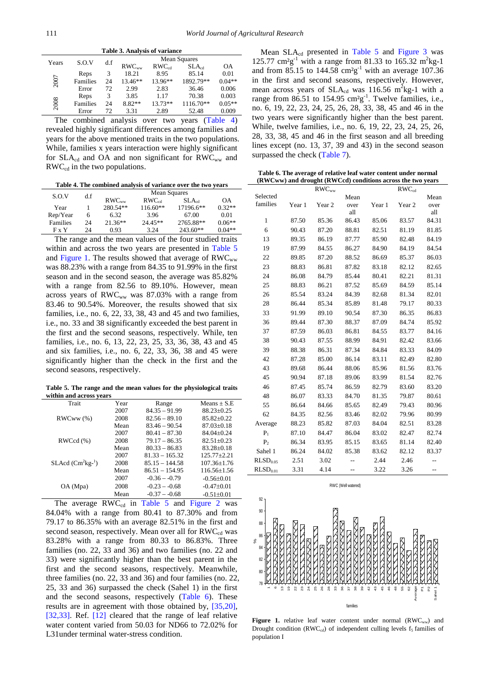<span id="page-2-0"></span>

| <b>Table 3. Analysis of variance</b> |          |     |            |            |                     |                              |  |
|--------------------------------------|----------|-----|------------|------------|---------------------|------------------------------|--|
| Years                                | S.O.V    | d.f |            |            | <b>Mean Squares</b> |                              |  |
|                                      |          |     | $RWC_{ww}$ | $RWC_{cd}$ | $SLA_{cd}$          | <b>OA</b>                    |  |
|                                      | Reps     | 3   | 18.21      | 8.95       | 85.14               | 0.01                         |  |
| 2007                                 | Families | 24  | 13.46**    | 13.96**    | 1892.79**           | $0.04**$                     |  |
|                                      | Error    | 72  | 2.99       | 2.83       | 36.46               | 0.006                        |  |
|                                      | Reps     | 3   | 3.85       | 1.17       | 70.38               | 0.003                        |  |
| 2008                                 | Families | 24  | 8.82**     | 13.73**    | 1116.70**           | $0.05**$                     |  |
|                                      | Error    | 72  | 3.31       | 2.89       | 52.48               | 0.009                        |  |
| $T = 1$                              | $\cdot$  |     |            |            | $\sqrt{1}$          | $\mathbf{A}$<br>$\mathbf{1}$ |  |

The combined analysis over two years [\(Table 4\)](#page-2-1) revealed highly significant differences among families and years for the above mentioned traits in the two populations. While, families x years interaction were highly significant for  $SLA_{cd}$  and OA and non significant for  $RWC_{ww}$  and  $RWC_{cd}$  in the two populations.

**Table 4. The combined analysis of variance over the two years**

<span id="page-2-1"></span>

| S.O.V           | d.f | Mean Squares |            |            |          |  |
|-----------------|-----|--------------|------------|------------|----------|--|
|                 |     | $RWC_{ww}$   | $RWC_{cd}$ | $SLA_{cd}$ | OΑ       |  |
| Year            |     | 280.54**     | $116.60**$ | 17196.6**  | $0.32**$ |  |
| Rep/Year        | 6   | 6.32         | 3.96       | 67.00      | 0.01     |  |
| <b>Families</b> | 24  | $21.36**$    | $24.45**$  | 2765.88**  | $0.06**$ |  |
| $F \times Y$    | 24  | 0.93         | 3.24       | $243.60**$ | $0.04**$ |  |

The range and the mean values of the four studied traits within and across the two years are presented in [Table 5](#page-2-2) and [Figure 1.](#page-2-3) The results showed that average of  $RWC_{ww}$ was 88.23% with a range from 84.35 to 91.99% in the first season and in the second season, the average was 85.82% with a range from 82.56 to 89.10%. However, mean across years of  $RWC_{ww}$  was 87.03% with a range from 83.46 to 90.54%. Moreover, the results showed that six families, i.e., no. 6, 22, 33, 38, 43 and 45 and two families, i.e., no. 33 and 38 significantly exceeded the best parent in the first and the second seasons, respectively. While, ten families, i.e., no. 6, 13, 22, 23, 25, 33, 36, 38, 43 and 45 and six families, i.e., no. 6, 22, 33, 36, 38 and 45 were significantly higher than the check in the first and the second seasons, respectively.

**Table 5. The range and the mean values for the physiological traits within and across years**

<span id="page-2-2"></span>

| Trait                 | Year | Range            | $Means + S.E$     |
|-----------------------|------|------------------|-------------------|
|                       | 2007 | $84.35 - 91.99$  | $88.23 \pm 0.25$  |
| RWCww(%)              | 2008 | $82.56 - 89.10$  | $85.82 + 0.22$    |
|                       | Mean | $83.46 - 90.54$  | $87.03 + 0.18$    |
|                       | 2007 | $80.41 - 87.30$  | $84.04 + 0.24$    |
| RWCcd(%)              | 2008 | $79.17 - 86.35$  | $82.51 \pm 0.23$  |
|                       | Mean | $80.33 - 86.83$  | $83.28 + 0.18$    |
|                       | 2007 | $81.33 - 165.32$ | $125.77 + 2.21$   |
| $SLAcd$ ( $Cm2kg-1$ ) | 2008 | $85.15 - 144.58$ | $107.36 \pm 1.76$ |
|                       | Mean | $86.51 - 154.95$ | $116.56 + 1.56$   |
|                       | 2007 | $-0.36 - 0.79$   | $-0.56+0.01$      |
| OA (Mpa)              | 2008 | $-0.23 - 0.68$   | $-0.47+0.01$      |
|                       | Mean | $-0.37 - -0.68$  | $-0.51+0.01$      |

The average  $RWC_{cd}$  in [Table 5](#page-2-2) and [Figure 2](#page-3-0) was 84.04% with a range from 80.41 to 87.30% and from 79.17 to 86.35% with an average 82.51% in the first and second season, respectively. Mean over all for  $RWC_{cd}$  was 83.28% with a range from 80.33 to 86.83%. Three families (no. 22, 33 and 36) and two families (no. 22 and 33) were significantly higher than the best parent in the first and the second seasons, respectively. Meanwhile, three families (no. 22, 33 and 36) and four families (no. 22, 25, 33 and 36) surpassed the check (Sahel 1) in the first and the second seasons, respectively [\(Table 6\)](#page-2-4). These results are in agreement with those obtained by, [\[35,20\],](#page-5-1) [\[32,33\].](#page-4-10) Ref. [\[12\]](#page-4-11) cleared that the range of leaf relative water content varied from 50.03 for ND66 to 72.02% for L31under terminal water-stress condition.

Mean  $SLA_{cd}$  presented in [Table 5](#page-2-2) and [Figure 3](#page-3-1) was 125.77  $\text{cm}^2 \text{g}^{-1}$  with a range from 81.33 to 165.32 m<sup>2</sup>kg-1 and from 85.15 to 144.58  $\text{cm}^2\text{g}^{-1}$  with an average 107.36 in the first and second seasons, respectively. However, mean across years of  $SLA_{cd}$  was 116.56 m<sup>2</sup>kg-1 with a range from  $86.51$  to  $154.95$   $\text{cm}^2\text{g}^{-1}$ . Twelve families, i.e., no. 6, 19, 22, 23, 24, 25, 26, 28, 33, 38, 45 and 46 in the two years were significantly higher than the best parent. While, twelve families, i.e., no. 6, 19, 22, 23, 24, 25, 26, 28, 33, 38, 45 and 46 in the first season and all breeding lines except (no. 13, 37, 39 and 43) in the second season surpassed the check [\(Table 7\)](#page-3-2).

| Table 6. The average of relative leaf water content under normal |  |
|------------------------------------------------------------------|--|
| (RWCww) and drought (RWCcd) conditions across the two years      |  |

<span id="page-2-4"></span>

|                      | $RWC_{ww}$ |        |             | $RWC_{cd}$ |        |             |  |
|----------------------|------------|--------|-------------|------------|--------|-------------|--|
| Selected             |            |        | Mean        |            |        | Mean        |  |
| families             | Year 1     | Year 2 | over<br>all | Year 1     | Year 2 | over<br>all |  |
| $\mathbf{1}$         | 87.50      | 85.36  | 86.43       | 85.06      | 83.57  | 84.31       |  |
| 6                    | 90.43      | 87.20  | 88.81       | 82.51      | 81.19  | 81.85       |  |
| 13                   | 89.35      | 86.19  | 87.77       | 85.90      | 82.48  | 84.19       |  |
| 19                   | 87.99      | 84.55  | 86.27       | 84.90      | 84.19  | 84.54       |  |
| 22                   | 89.85      | 87.20  | 88.52       | 86.69      | 85.37  | 86.03       |  |
| 23                   | 88.83      | 86.81  | 87.82       | 83.18      | 82.12  | 82.65       |  |
| 24                   | 86.08      | 84.79  | 85.44       | 80.41      | 82.21  | 81.31       |  |
| 25                   | 88.83      | 86.21  | 87.52       | 85.69      | 84.59  | 85.14       |  |
| 26                   | 85.54      | 83.24  | 84.39       | 82.68      | 81.34  | 82.01       |  |
| 28                   | 86.44      | 85.34  | 85.89       | 81.48      | 79.17  | 80.33       |  |
| 33                   | 91.99      | 89.10  | 90.54       | 87.30      | 86.35  | 86.83       |  |
| 36                   | 89.44      | 87.30  | 88.37       | 87.09      | 84.74  | 85.92       |  |
| 37                   | 87.59      | 86.03  | 86.81       | 84.55      | 83.77  | 84.16       |  |
| 38                   | 90.43      | 87.55  | 88.99       | 84.91      | 82.42  | 83.66       |  |
| 39                   | 88.38      | 86.31  | 87.34       | 84.84      | 83.33  | 84.09       |  |
| 42                   | 87.28      | 85.00  | 86.14       | 83.11      | 82.49  | 82.80       |  |
| 43                   | 89.68      | 86.44  | 88.06       | 85.96      | 81.56  | 83.76       |  |
| 45                   | 90.94      | 87.18  | 89.06       | 83.99      | 81.54  | 82.76       |  |
| 46                   | 87.45      | 85.74  | 86.59       | 82.79      | 83.60  | 83.20       |  |
| 48                   | 86.07      | 83.33  | 84.70       | 81.35      | 79.87  | 80.61       |  |
| 55                   | 86.64      | 84.66  | 85.65       | 82.49      | 79.43  | 80.96       |  |
| 62                   | 84.35      | 82.56  | 83.46       | 82.02      | 79.96  | 80.99       |  |
| Average              | 88.23      | 85.82  | 87.03       | 84.04      | 82.51  | 83.28       |  |
| $P_1$                | 87.10      | 84.47  | 86.04       | 83.02      | 82.47  | 82.74       |  |
| P <sub>2</sub>       | 86.34      | 83.95  | 85.15       | 83.65      | 81.14  | 82.40       |  |
| Sahel 1              | 86.24      | 84.02  | 85.38       | 83.62      | 82.12  | 83.37       |  |
| RLSD <sub>0.05</sub> | 2.51       | 3.02   | --          | 2.44       | 2.46   | --          |  |
| RLSD <sub>0.01</sub> | 3.31       | 4.14   | $-$         | 3.22       | 3.26   | $-$         |  |

<span id="page-2-3"></span>

RWC (Well water

**Figure 1.** relative leaf water content under normal (RWC<sub>ww</sub>) and Drought condition ( $RWC_{cd}$ ) of independent culling levels  $f_5$  families of population I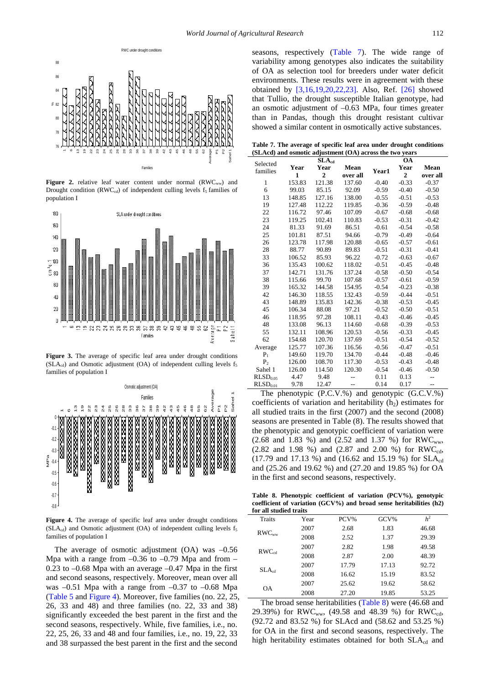<span id="page-3-0"></span>

Figure 2. relative leaf water content under normal (RWC<sub>ww</sub>) and Drought condition ( $RWC_{cd}$ ) of independent culling levels  $f_5$  families of population I

<span id="page-3-1"></span>

**Figure 3.** The average of specific leaf area under drought conditions  $(SLA<sub>cd</sub>)$  and Osmotic adjustment (OA) of independent culling levels  $f<sub>5</sub>$ families of population I

<span id="page-3-3"></span>

**Figure 4.** The average of specific leaf area under drought conditions ( $SLA_{cd}$ ) and Osmotic adjustment (OA) of independent culling levels  $f_5$ families of population I

The average of osmotic adjustment  $(OA)$  was  $-0.56$ Mpa with a range from  $-0.36$  to  $-0.79$  Mpa and from  $0.23$  to  $-0.68$  Mpa with an average  $-0.47$  Mpa in the first and second seasons, respectively. Moreover, mean over all was –0.51 Mpa with a range from –0.37 to –0.68 Mpa [\(Table 5](#page-2-2) an[d Figure 4\)](#page-3-3). Moreover, five families (no. 22, 25, 26, 33 and 48) and three families (no. 22, 33 and 38) significantly exceeded the best parent in the first and the second seasons, respectively. While, five families, i.e., no. 22, 25, 26, 33 and 48 and four families, i.e., no. 19, 22, 33 and 38 surpassed the best parent in the first and the second

seasons, respectively [\(Table 7\)](#page-3-2). The wide range of variability among genotypes also indicates the suitability of OA as selection tool for breeders under water deficit environments. These results were in agreement with these obtained by [\[3,16,19,20,22,23\].](#page-4-12) Also, Ref. [\[26\]](#page-4-6) showed that Tullio, the drought susceptible Italian genotype, had an osmotic adjustment of –0.63 MPa, four times greater than in Pandas, though this drought resistant cultivar showed a similar content in osmotically active substances.

|  | Table 7. The average of specific leaf area under drought conditions |  |  |  |
|--|---------------------------------------------------------------------|--|--|--|
|  | (SLAcd) and osmotic adjustment (OA) across the two years            |  |  |  |

<span id="page-3-2"></span>

|                      |        | $SLA_{cd}$     |          |         | OА             |          |
|----------------------|--------|----------------|----------|---------|----------------|----------|
| Selected<br>families | Year   | Year           | Mean     | Year1   | Year           | Mean     |
|                      | 1      | $\overline{2}$ | over all |         | $\overline{2}$ | over all |
| $\mathbf{1}$         | 153.83 | 121.38         | 137.60   | $-0.40$ | $-0.33$        | $-0.37$  |
| 6                    | 99.03  | 85.15          | 92.09    | $-0.59$ | $-0.40$        | $-0.50$  |
| 13                   | 148.85 | 127.16         | 138.00   | $-0.55$ | $-0.51$        | $-0.53$  |
| 19                   | 127.48 | 112.22         | 119.85   | $-0.36$ | $-0.59$        | $-0.48$  |
| 22                   | 116.72 | 97.46          | 107.09   | $-0.67$ | $-0.68$        | $-0.68$  |
| 23                   | 119.25 | 102.41         | 110.83   | $-0.53$ | $-0.31$        | $-0.42$  |
| 24                   | 81.33  | 91.69          | 86.51    | $-0.61$ | $-0.54$        | $-0.58$  |
| 25                   | 101.81 | 87.51          | 94.66    | $-0.79$ | $-0.49$        | $-0.64$  |
| 26                   | 123.78 | 117.98         | 120.88   | $-0.65$ | $-0.57$        | $-0.61$  |
| 28                   | 88.77  | 90.89          | 89.83    | $-0.51$ | $-0.31$        | $-0.41$  |
| 33                   | 106.52 | 85.93          | 96.22    | $-0.72$ | $-0.63$        | $-0.67$  |
| 36                   | 135.43 | 100.62         | 118.02   | $-0.51$ | $-0.45$        | $-0.48$  |
| 37                   | 142.71 | 131.76         | 137.24   | $-0.58$ | $-0.50$        | $-0.54$  |
| 38                   | 115.66 | 99.70          | 107.68   | $-0.57$ | $-0.61$        | $-0.59$  |
| 39                   | 165.32 | 144.58         | 154.95   | $-0.54$ | $-0.23$        | $-0.38$  |
| 42                   | 146.30 | 118.55         | 132.43   | $-0.59$ | $-0.44$        | $-0.51$  |
| 43                   | 148.89 | 135.83         | 142.36   | $-0.38$ | $-0.53$        | $-0.45$  |
| 45                   | 106.34 | 88.08          | 97.21    | $-0.52$ | $-0.50$        | $-0.51$  |
| 46                   | 118.95 | 97.28          | 108.11   | $-0.43$ | $-0.46$        | $-0.45$  |
| 48                   | 133.08 | 96.13          | 114.60   | $-0.68$ | $-0.39$        | $-0.53$  |
| 55                   | 132.11 | 108.96         | 120.53   | $-0.56$ | $-0.33$        | $-0.45$  |
| 62                   | 154.68 | 120.70         | 137.69   | $-0.51$ | $-0.54$        | $-0.52$  |
| Average              | 125.77 | 107.36         | 116.56   | $-0.56$ | $-0.47$        | $-0.51$  |
| $P_1$                | 149.60 | 119.70         | 134.70   | $-0.44$ | $-0.48$        | $-0.46$  |
| P <sub>2</sub>       | 126.00 | 108.70         | 117.30   | $-0.53$ | $-0.43$        | $-0.48$  |
| Sahel 1              | 126.00 | 114.50         | 120.30   | $-0.54$ | $-0.46$        | $-0.50$  |
| RLSD <sub>0.05</sub> | 4.47   | 9.48           |          | 0.11    | 0.13           | --       |
| RLSD <sub>0.01</sub> | 9.78   | 12.47          |          | 0.14    | 0.17           | --       |

The phenotypic (P.C.V.%) and genotypic (G.C.V.%) coefficients of variation and heritability  $(h<sub>2</sub>)$  estimates for all studied traits in the first (2007) and the second (2008) seasons are presented in Table (8). The results showed that the phenotypic and genotypic coefficient of variation were  $(2.68$  and 1.83 %) and  $(2.52$  and 1.37 %) for RWC<sub>ww</sub>, (2.82 and 1.98 %) and (2.87 and 2.00 %) for  $RWC_{cd}$ , (17.79 and 17.13 %) and (16.62 and 15.19 %) for  $SLA_{cd}$ and (25.26 and 19.62 %) and (27.20 and 19.85 %) for OA in the first and second seasons, respectively.

**Table 8. Phenotypic coefficient of variation (PCV%), genotypic coefficient of variation (GCV%) and broad sense heritabilities (h2) for all studied traits**

<span id="page-3-4"></span>

| for all studied traits |      |       |       |                |  |
|------------------------|------|-------|-------|----------------|--|
| Traits                 | Year | PCV%  | GCV%  | h <sup>2</sup> |  |
|                        | 2007 | 2.68  | 1.83  | 46.68          |  |
| $RWC_{ww}$             | 2008 | 2.52  | 1.37  | 29.39          |  |
| $RWC_{cd}$             | 2007 | 2.82  | 1.98  | 49.58          |  |
|                        | 2008 | 2.87  | 2.00  | 48.39          |  |
| $SLA_{cd}$             | 2007 | 17.79 | 17.13 | 92.72          |  |
|                        | 2008 | 16.62 | 15.19 | 83.52          |  |
|                        | 2007 | 25.62 | 19.62 | 58.62          |  |
| <b>OA</b>              | 2008 | 27.20 | 19.85 | 53.25          |  |

The broad sense heritabilities [\(Table 8\)](#page-3-4) were (46.68 and 29.39%) for RWC<sub>ww</sub>, (49.58 and 48.39 %) for RWC<sub>cd</sub>, (92.72 and 83.52 %) for SLAcd and (58.62 and 53.25 %) for OA in the first and second seasons, respectively. The high heritability estimates obtained for both  $SLA_{cd}$  and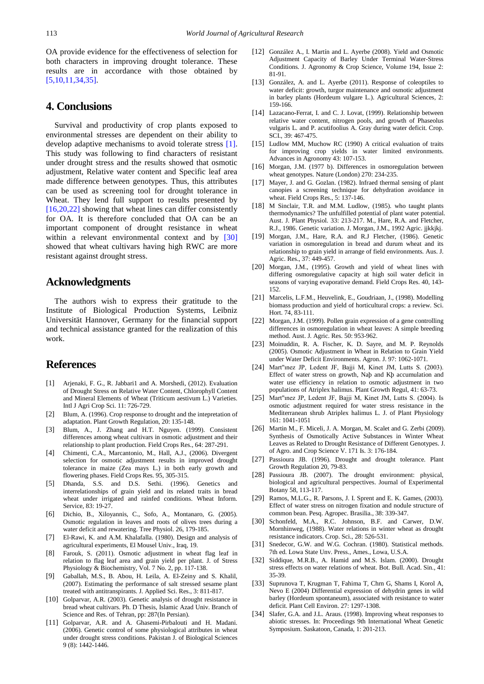OA provide evidence for the effectiveness of selection for both characters in improving drought tolerance. These results are in accordance with those obtained by [\[5,10,11,34,35\].](#page-4-13)

## **4. Conclusions**

Survival and productivity of crop plants exposed to environmental stresses are dependent on their ability to develop adaptive mechanisms to avoid tolerate stress [\[1\].](#page-4-14) This study was following to find characters of resistant under drought stress and the results showed that osmotic adjustment, Relative water content and Specific leaf area made difference between genotypes. Thus, this attributes can be used as screening tool for drought tolerance in Wheat. They lend full support to results presented by [\[16,20,22\]](#page-4-1) showing that wheat lines can differ consistently for OA. It is therefore concluded that OA can be an important component of drought resistance in wheat within a relevant environmental context and by [\[30\]](#page-4-15) showed that wheat cultivars having high RWC are more resistant against drought stress.

#### **Acknowledgments**

The authors wish to express their gratitude to the Institute of Biological Production Systems, Leibniz Universität Hannover, Germany for the financial support and technical assistance granted for the realization of this work.

#### **References**

- <span id="page-4-14"></span>[1] Arjenaki, F. G., R. Jabbari1 and A. Morshedi, (2012). Evaluation of Drought Stress on Relative Water Content, Chlorophyll Content and Mineral Elements of Wheat (Triticum aestivum L.) Varieties. Intl J Agri Crop Sci. 11: 726-729.
- <span id="page-4-3"></span>[2] Blum, A. (1996). Crop response to drought and the intepretation of adaptation. Plant Growth Regulation, 20: 135-148.
- <span id="page-4-12"></span>[3] Blum, A., J. Zhang and H.T. Nguyen. (1999). Consistent differences among wheat cultivars in osmotic adjustment and their relationship to plant production. Field Crops Res., 64: 287-291.
- [4] Chimenti, C.A., Marcantonio, M., Hall, A.J., (2006). Divergent selection for osmotic adjustment results in improved drought tolerance in maize (Zea mays L.) in both early growth and flowering phases. Field Crops Res. 95, 305-315.
- <span id="page-4-13"></span>[5] Dhanda, S.S. and D.S. Sethi. (1996). Genetics and interrelationships of grain yield and its related traits in bread wheat under irrigated and rainfed conditions. Wheat Inform. Service, 83: 19-27.
- [6] Dichio, B., Xiloyannis, C., Sofo, A., Montanaro, G. (2005). Osmotic regulation in leaves and roots of olives trees during a water deficit and rewatering. Tree Physiol. 26, 179-185.
- [7] El-Rawi, K. and A.M. Khalafalla. (1980). Design and analysis of agricultural experiments, El Mousel Univ., Iraq, 19.
- [8] Farouk, S. (2011). Osmotic adjustment in wheat flag leaf in relation to flag leaf area and grain yield per plant. J. of Stress Physiology & Biochemistry, Vol. 7 No. 2, pp. 117-138.
- <span id="page-4-8"></span>[9] Gaballah, M.S., B. Abou, H. Leila, A. El-Zeiny and S. Khalil, (2007). Estimating the performance of salt stressed sesame plant treated with antitranspirants. J. Applied Sci. Res., 3: 811-817.
- [10] Golparvar, A.R. (2003). Genetic analysis of drought resistance in bread wheat cultivars. Ph. D Thesis, Islamic Azad Univ. Branch of Science and Res. of Tehran, pp: 287(In Persian).
- [11] Golparvar, A.R. and A. Ghasemi-Pirbalouti and H. Madani. (2006). Genetic control of some physiological attributes in wheat under drought stress conditions. Pakistan J. of Biological Sciences 9 (8): 1442-1446.
- <span id="page-4-11"></span>[12] González A., I. Martín and L. Ayerbe (2008). Yield and Osmotic Adjustment Capacity of Barley Under Terminal Water-Stress Conditions. J. Agronomy & Crop Science, Volume 194, Issue 2: 81-91.
- [13] González, A. and L. Ayerbe (2011). Response of coleoptiles to water deficit: growth, turgor maintenance and osmotic adjustment in barley plants (Hordeum vulgare L.). Agricultural Sciences, 2: 159-166.
- <span id="page-4-7"></span>[14] Lazacano-Ferrat, I. and C. J. Lovat, (1999). Relationship between relative water content, nitrogen pools, and growth of Phaseolus vulgaris L. and P. acutifoolius A. Gray during water deficit. Crop. SCI., 39: 467-475.
- <span id="page-4-2"></span>[15] Ludlow MM, Muchow RC (1990) A critical evaluation of traits for improving crop yields in water limited environments. Advances in Agronomy 43: 107-153.
- <span id="page-4-1"></span>[16] Morgan, J.M. (1977 b). Differences in osmoregulation between wheat genotypes. Nature (London) 270: 234-235.
- [17] Mayer, J. and G. Gozlan. (1982). Infraed thermal sensing of plant canopies a screening technique for dehydration avoidance in wheat. Field Crops Res., 5: 137-146.
- <span id="page-4-5"></span>[18] M Sinclair, T.R. and M.M. Ludlow, (1985). who taught plants thermodynamics? The unfulfilled potential of plant water potential. Aust. J. Plant Physiol. 33: 213-217. M., Hare, R.A. and Fletcher, R.J., 1986. Genetic variation. J. Morgan, J.M., 1992 Agric. jjkkjkj.
- [19] Morgan, J.M., Hare, R.A. and R.J Fletcher, (1986). Genetic variation in osmoregulation in bread and durum wheat and its relationship to grain yield in arrange of field environments. Aus. J. Agric. Res., 37: 449-457.
- [20] Morgan, J.M., (1995). Growth and yield of wheat lines with differing osmoregulative capacity at high soil water deficit in seasons of varying evaporative demand. Field Crops Res. 40, 143- 152.
- <span id="page-4-9"></span>[21] Marcelis, L.F.M., Heuvelink, E., Goudriaan, J., (1998). Modelling biomass production and yield of horticultural crops: a review. Sci. Hort. 74, 83-111.
- [22] Morgan, J.M. (1999). Pollen grain expression of a gene controlling differences in osmoregulation in wheat leaves: A simple breeding method. Aust. J. Agric. Res. 50: 953-962.
- [23] Moinuddin, R. A. Fischer, K. D. Sayre, and M. P. Reynolds (2005). Osmotic Adjustment in Wheat in Relation to Grain Yield under Water Deficit Environments. Agron. J. 97: 1062-1071.
- <span id="page-4-4"></span>[24] Mart"ınez JP, Ledent JF, Bajji M, Kinet JM, Lutts S. (2003). Effect of water stress on growth, Naþ and Kþ accumulation and water use efficiency in relation to osmotic adjustment in two populations of Atriplex halimus. Plant Growth Regul, 41: 63-73.
- [25] Mart"ınez JP, Ledent JF, Bajji M, Kinet JM, Lutts S. (2004). Is osmotic adjustment required for water stress resistance in the Mediterranean shrub Atriplex halimus L. J. of Plant Physiology 161: 1041-1051
- <span id="page-4-6"></span>[26] Martin M., F. Miceli, J. A. Morgan, M. Scalet and G. Zerbi (2009). Synthesis of Osmotically Active Substances in Winter Wheat Leaves as Related to Drought Resistance of Different Genotypes. J. of Agro. and Crop Science V. 171 Is. 3: 176-184.
- <span id="page-4-0"></span>[27] Passioura JB. (1996). Drought and drought tolerance. Plant Growth Regulation 20, 79-83.
- [28] Passioura JB. (2007). The drought environment: physical, biological and agricultural perspectives. Journal of Experimental Botany 58, 113-117.
- [29] Ramos, M.L.G., R. Parsons, J. I. Sprent and E. K. Games, (2003). Effect of water stress on nitrogen fixation and nodule structure of common bean. Pesq. Agropec. Brasilia., 38: 339-347.
- <span id="page-4-15"></span>[30] Schonfeld, M.A., R.C. Johnson, B.F. and Carwer, D.W. Mornhinweg, (1988). Water relations in winter wheat as drought resistance indicators. Crop. Sci., 28: 526-531.
- [31] Snedecor, G.W. and W.G. Cochran. (1980). Statistical methods. 7th ed. Lowa State Unv. Press., Ames., Lowa, U.S.A.
- <span id="page-4-10"></span>[32] Siddique, M.R.B., A. Hamid and M.S. Islam. (2000). Drought stress effects on water relations of wheat. Bot. Bull. Acad. Sin., 41: 35-39.
- [33] Suprunova T, Krugman T, Fahima T, Chrn G, Shams I, Korol A, Nevo E (2004) Differential expression of dehydrin genes in wild barley (Hordeum spontaneum), associated with resistance to water deficit. Plant Cell Environ. 27: 1297-1308.
- [34] Slafer, G.A. and J.L. Araus. (1998). Improving wheat responses to abiotic stresses. In: Proceedings 9th International Wheat Genetic Symposium. Saskatoon, Canada, 1: 201-213.